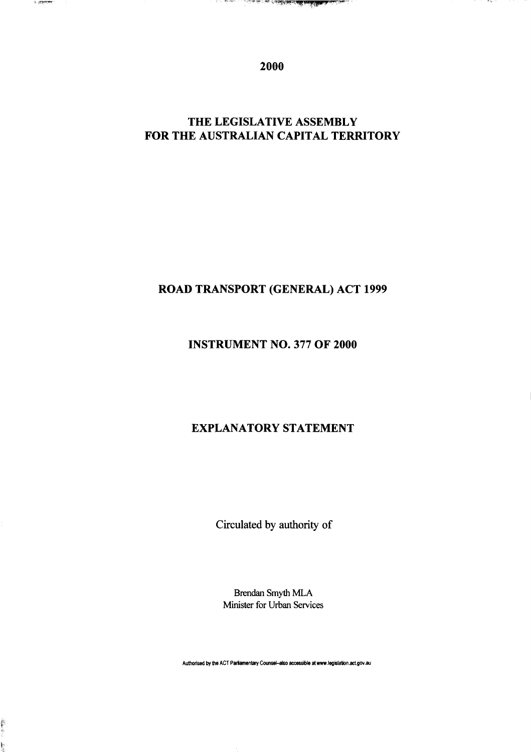**2000** 

**CONTRACTOR** 

ं अक्टूबर मण

**Allen Brown** 

ķ.

# THE LEGISLATIVE ASSEMBLY FOR THE AUSTRALIAN CAPITAL TERRITORY

## ROAD TRANSPORT (GENERAL) ACT 1999

### INSTRUMENT NO. 377 OF 2000

### EXPLANATORY STATEMENT

Circulated by authority of

Brendan Smyth MLA Minister for Urban Services

**Authorised by the ACT Parliamentary Counsel-also accessible at www.legislation.act.gov.au**